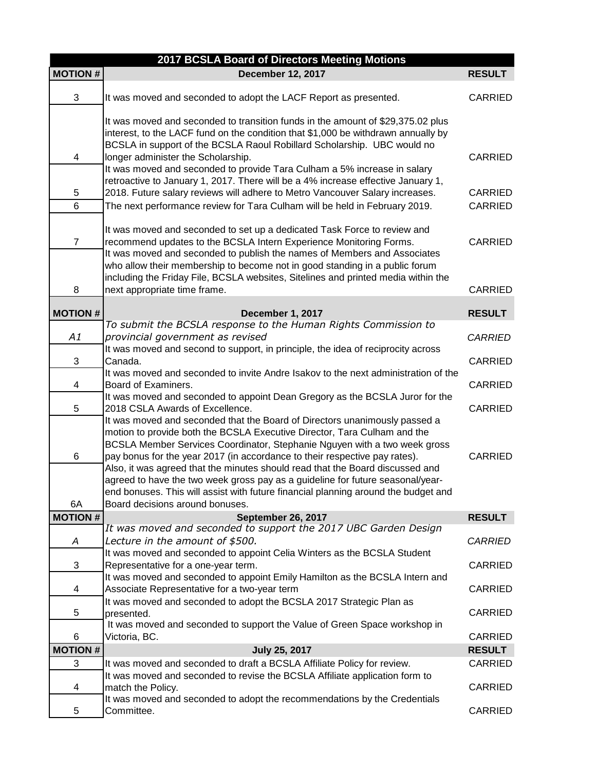| 2017 BCSLA Board of Directors Meeting Motions |                                                                                                                                                                                                                                                                                                                                                                                                                                                                                                                                                                            |                    |  |
|-----------------------------------------------|----------------------------------------------------------------------------------------------------------------------------------------------------------------------------------------------------------------------------------------------------------------------------------------------------------------------------------------------------------------------------------------------------------------------------------------------------------------------------------------------------------------------------------------------------------------------------|--------------------|--|
| <b>MOTION#</b>                                | <b>December 12, 2017</b>                                                                                                                                                                                                                                                                                                                                                                                                                                                                                                                                                   | <b>RESULT</b>      |  |
| 3                                             | It was moved and seconded to adopt the LACF Report as presented.                                                                                                                                                                                                                                                                                                                                                                                                                                                                                                           | <b>CARRIED</b>     |  |
| 4                                             | It was moved and seconded to transition funds in the amount of \$29,375.02 plus<br>interest, to the LACF fund on the condition that \$1,000 be withdrawn annually by<br>BCSLA in support of the BCSLA Raoul Robillard Scholarship. UBC would no<br>longer administer the Scholarship.<br>It was moved and seconded to provide Tara Culham a 5% increase in salary                                                                                                                                                                                                          | <b>CARRIED</b>     |  |
| 5<br>6                                        | retroactive to January 1, 2017. There will be a 4% increase effective January 1,<br>2018. Future salary reviews will adhere to Metro Vancouver Salary increases.<br>The next performance review for Tara Culham will be held in February 2019.                                                                                                                                                                                                                                                                                                                             | CARRIED<br>CARRIED |  |
| $\overline{7}$                                | It was moved and seconded to set up a dedicated Task Force to review and<br>recommend updates to the BCSLA Intern Experience Monitoring Forms.<br>It was moved and seconded to publish the names of Members and Associates<br>who allow their membership to become not in good standing in a public forum                                                                                                                                                                                                                                                                  | CARRIED            |  |
| 8                                             | including the Friday File, BCSLA websites, Sitelines and printed media within the<br>next appropriate time frame.                                                                                                                                                                                                                                                                                                                                                                                                                                                          | <b>CARRIED</b>     |  |
| <b>MOTION#</b>                                | December 1, 2017                                                                                                                                                                                                                                                                                                                                                                                                                                                                                                                                                           | <b>RESULT</b>      |  |
| A1                                            | To submit the BCSLA response to the Human Rights Commission to<br>provincial government as revised                                                                                                                                                                                                                                                                                                                                                                                                                                                                         | <b>CARRIED</b>     |  |
| 3                                             | It was moved and second to support, in principle, the idea of reciprocity across<br>Canada.                                                                                                                                                                                                                                                                                                                                                                                                                                                                                | CARRIED            |  |
| 4                                             | It was moved and seconded to invite Andre Isakov to the next administration of the<br>Board of Examiners.                                                                                                                                                                                                                                                                                                                                                                                                                                                                  | <b>CARRIED</b>     |  |
| 5                                             | It was moved and seconded to appoint Dean Gregory as the BCSLA Juror for the<br>2018 CSLA Awards of Excellence.                                                                                                                                                                                                                                                                                                                                                                                                                                                            | <b>CARRIED</b>     |  |
| 6                                             | It was moved and seconded that the Board of Directors unanimously passed a<br>motion to provide both the BCSLA Executive Director, Tara Culham and the<br>BCSLA Member Services Coordinator, Stephanie Nguyen with a two week gross<br>pay bonus for the year 2017 (in accordance to their respective pay rates).<br>Also, it was agreed that the minutes should read that the Board discussed and<br>agreed to have the two week gross pay as a guideline for future seasonal/year-<br>end bonuses. This will assist with future financial planning around the budget and | <b>CARRIED</b>     |  |
| 6A                                            | Board decisions around bonuses.                                                                                                                                                                                                                                                                                                                                                                                                                                                                                                                                            |                    |  |
| <b>MOTION#</b>                                | September 26, 2017<br>It was moved and seconded to support the 2017 UBC Garden Design                                                                                                                                                                                                                                                                                                                                                                                                                                                                                      | <b>RESULT</b>      |  |
| Α                                             | Lecture in the amount of \$500.<br>It was moved and seconded to appoint Celia Winters as the BCSLA Student                                                                                                                                                                                                                                                                                                                                                                                                                                                                 | <b>CARRIED</b>     |  |
| 3                                             | Representative for a one-year term.                                                                                                                                                                                                                                                                                                                                                                                                                                                                                                                                        | CARRIED            |  |
| 4                                             | It was moved and seconded to appoint Emily Hamilton as the BCSLA Intern and<br>Associate Representative for a two-year term<br>It was moved and seconded to adopt the BCSLA 2017 Strategic Plan as                                                                                                                                                                                                                                                                                                                                                                         | CARRIED            |  |
| 5                                             | presented.<br>It was moved and seconded to support the Value of Green Space workshop in                                                                                                                                                                                                                                                                                                                                                                                                                                                                                    | <b>CARRIED</b>     |  |
| 6                                             | Victoria, BC.                                                                                                                                                                                                                                                                                                                                                                                                                                                                                                                                                              | <b>CARRIED</b>     |  |
| <b>MOTION#</b>                                | <b>July 25, 2017</b>                                                                                                                                                                                                                                                                                                                                                                                                                                                                                                                                                       | <b>RESULT</b>      |  |
| 3                                             | It was moved and seconded to draft a BCSLA Affiliate Policy for review.                                                                                                                                                                                                                                                                                                                                                                                                                                                                                                    | <b>CARRIED</b>     |  |
| 4                                             | It was moved and seconded to revise the BCSLA Affiliate application form to<br>match the Policy.                                                                                                                                                                                                                                                                                                                                                                                                                                                                           | CARRIED            |  |
| 5                                             | It was moved and seconded to adopt the recommendations by the Credentials<br>Committee.                                                                                                                                                                                                                                                                                                                                                                                                                                                                                    | <b>CARRIED</b>     |  |